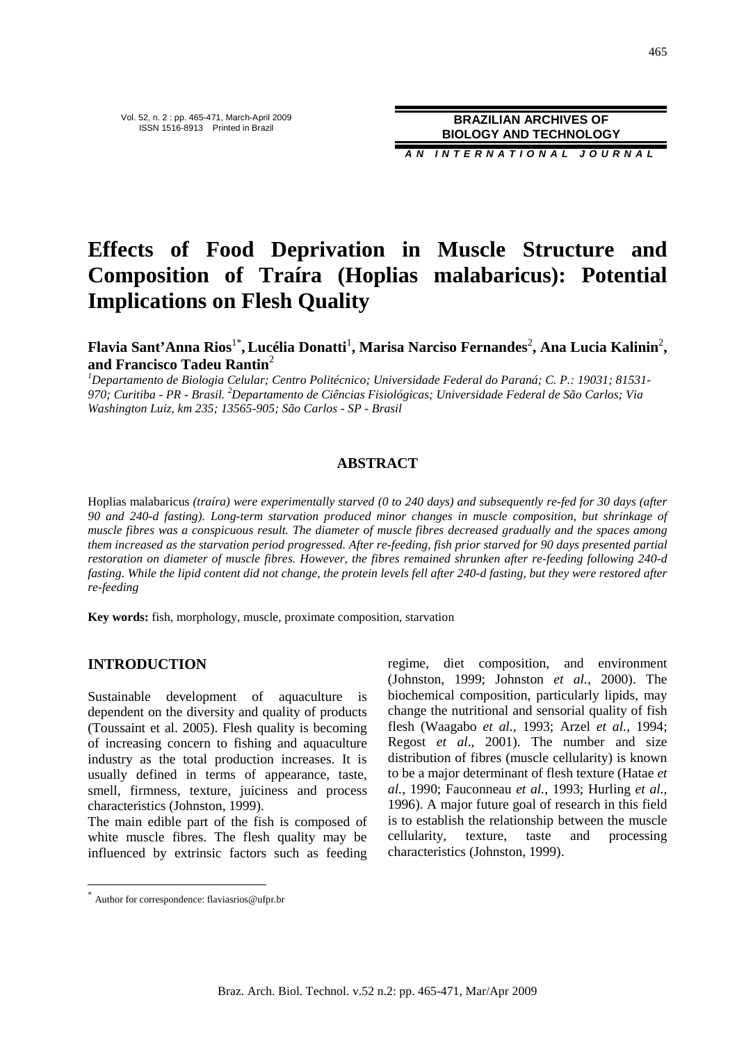**A N I N T E R N A T I O N A L J O U R N A L**

# **Effects of Food Deprivation in Muscle Structure and Composition of Traíra (Hoplias malabaricus): Potential Implications on Flesh Quality**

**Flavia Sant'Anna Rios**1\* **, Lucélia Donatti**<sup>1</sup> **, Marisa Narciso Fernandes**<sup>2</sup> **, Ana Lucia Kalinin**<sup>2</sup> **, and Francisco Tadeu Rantin**<sup>2</sup>

*<sup>1</sup>Departamento de Biologia Celular; Centro Politécnico; Universidade Federal do Paraná; C. P.: 19031; 81531- 970; Curitiba - PR - Brasil. <sup>2</sup>Departamento de Ciências Fisiológicas; Universidade Federal de São Carlos; Via Washington Luiz, km 235; 13565-905; São Carlos - SP - Brasil* 

## **ABSTRACT**

Hoplias malabaricus *(traíra) were experimentally starved (0 to 240 days) and subsequently re-fed for 30 days (after 90 and 240-d fasting). Long-term starvation produced minor changes in muscle composition, but shrinkage of muscle fibres was a conspicuous result. The diameter of muscle fibres decreased gradually and the spaces among them increased as the starvation period progressed. After re-feeding, fish prior starved for 90 days presented partial restoration on diameter of muscle fibres. However, the fibres remained shrunken after re-feeding following 240-d fasting. While the lipid content did not change, the protein levels fell after 240-d fasting, but they were restored after re-feeding* 

**Key words:** fish, morphology, muscle, proximate composition, starvation

#### **INTRODUCTION**

 $\overline{a}$ 

Sustainable development of aquaculture is dependent on the diversity and quality of products (Toussaint et al. 2005). Flesh quality is becoming of increasing concern to fishing and aquaculture industry as the total production increases. It is usually defined in terms of appearance, taste, smell, firmness, texture, juiciness and process characteristics (Johnston, 1999).

The main edible part of the fish is composed of white muscle fibres. The flesh quality may be influenced by extrinsic factors such as feeding regime, diet composition, and environment (Johnston, 1999; Johnston *et al.*, 2000). The biochemical composition, particularly lipids, may change the nutritional and sensorial quality of fish flesh (Waagabo *et al.*, 1993; Arzel *et al.*, 1994; Regost *et al*., 2001). The number and size distribution of fibres (muscle cellularity) is known to be a major determinant of flesh texture (Hatae *et al.*, 1990; Fauconneau *et al.*, 1993; Hurling *et al.*, 1996). A major future goal of research in this field is to establish the relationship between the muscle cellularity, texture, taste and processing characteristics (Johnston, 1999).

<sup>\*</sup> Author for correspondence: flaviasrios@ufpr.br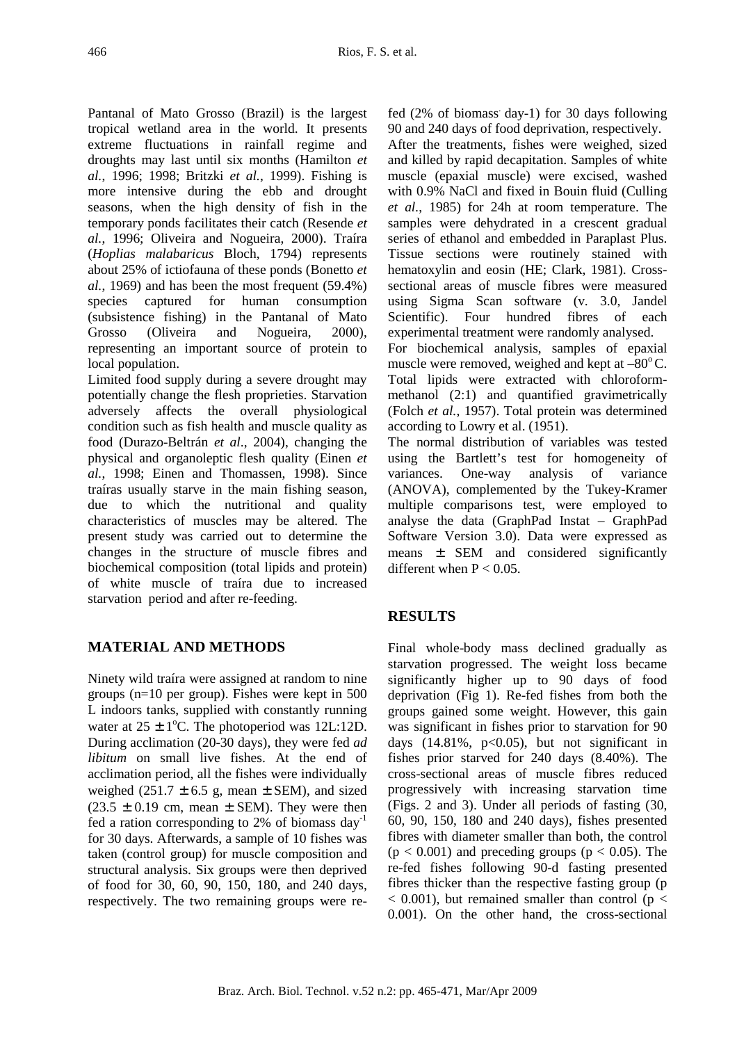Pantanal of Mato Grosso (Brazil) is the largest tropical wetland area in the world. It presents extreme fluctuations in rainfall regime and droughts may last until six months (Hamilton *et al.*, 1996; 1998; Britzki *et al.*, 1999). Fishing is more intensive during the ebb and drought seasons, when the high density of fish in the temporary ponds facilitates their catch (Resende *et al.*, 1996; Oliveira and Nogueira, 2000). Traíra (*Hoplias malabaricus* Bloch, 1794) represents about 25% of ictiofauna of these ponds (Bonetto *et al.*, 1969) and has been the most frequent (59.4%) species captured for human consumption (subsistence fishing) in the Pantanal of Mato Grosso (Oliveira and Nogueira, 2000), representing an important source of protein to local population.

Limited food supply during a severe drought may potentially change the flesh proprieties. Starvation adversely affects the overall physiological condition such as fish health and muscle quality as food (Durazo-Beltrán *et al*., 2004), changing the physical and organoleptic flesh quality (Einen *et al.*, 1998; Einen and Thomassen, 1998). Since traíras usually starve in the main fishing season, due to which the nutritional and quality characteristics of muscles may be altered. The present study was carried out to determine the changes in the structure of muscle fibres and biochemical composition (total lipids and protein) of white muscle of traíra due to increased starvation period and after re-feeding.

# **MATERIAL AND METHODS**

Ninety wild traíra were assigned at random to nine groups (n=10 per group). Fishes were kept in 500 L indoors tanks, supplied with constantly running water at  $25 \pm 1$ °C. The photoperiod was 12L:12D. During acclimation (20-30 days), they were fed *ad libitum* on small live fishes. At the end of acclimation period, all the fishes were individually weighed (251.7  $\pm$  6.5 g, mean  $\pm$  SEM), and sized  $(23.5 \pm 0.19)$  cm, mean  $\pm$  SEM). They were then fed a ration corresponding to 2% of biomass day<sup>-1</sup> for 30 days. Afterwards, a sample of 10 fishes was taken (control group) for muscle composition and structural analysis. Six groups were then deprived of food for 30, 60, 90, 150, 180, and 240 days, respectively. The two remaining groups were re-

fed (2% of biomass. day-1) for 30 days following 90 and 240 days of food deprivation, respectively. After the treatments, fishes were weighed, sized and killed by rapid decapitation. Samples of white muscle (epaxial muscle) were excised, washed with 0.9% NaCl and fixed in Bouin fluid (Culling *et al.*, 1985) for 24h at room temperature. The samples were dehydrated in a crescent gradual series of ethanol and embedded in Paraplast Plus. Tissue sections were routinely stained with hematoxylin and eosin (HE; Clark, 1981). Crosssectional areas of muscle fibres were measured using Sigma Scan software (v. 3.0, Jandel Scientific). Four hundred fibres of each experimental treatment were randomly analysed. For biochemical analysis, samples of epaxial muscle were removed, weighed and kept at  $-80^{\circ}$ C. Total lipids were extracted with chloroformmethanol (2:1) and quantified gravimetrically (Folch *et al.*, 1957). Total protein was determined according to Lowry et al. (1951).

The normal distribution of variables was tested using the Bartlett's test for homogeneity of variances. One-way analysis of variance (ANOVA), complemented by the Tukey-Kramer multiple comparisons test, were employed to analyse the data (GraphPad Instat – GraphPad Software Version 3.0). Data were expressed as means ± SEM and considered significantly different when  $P < 0.05$ .

# **RESULTS**

Final whole-body mass declined gradually as starvation progressed. The weight loss became significantly higher up to 90 days of food deprivation (Fig 1). Re-fed fishes from both the groups gained some weight. However, this gain was significant in fishes prior to starvation for 90 days  $(14.81\%, p<0.05)$ , but not significant in fishes prior starved for 240 days (8.40%). The cross-sectional areas of muscle fibres reduced progressively with increasing starvation time (Figs. 2 and 3). Under all periods of fasting (30, 60, 90, 150, 180 and 240 days), fishes presented fibres with diameter smaller than both, the control  $(p < 0.001)$  and preceding groups  $(p < 0.05)$ . The re-fed fishes following 90-d fasting presented fibres thicker than the respective fasting group (p  $<$  0.001), but remained smaller than control ( $p <$ 0.001). On the other hand, the cross-sectional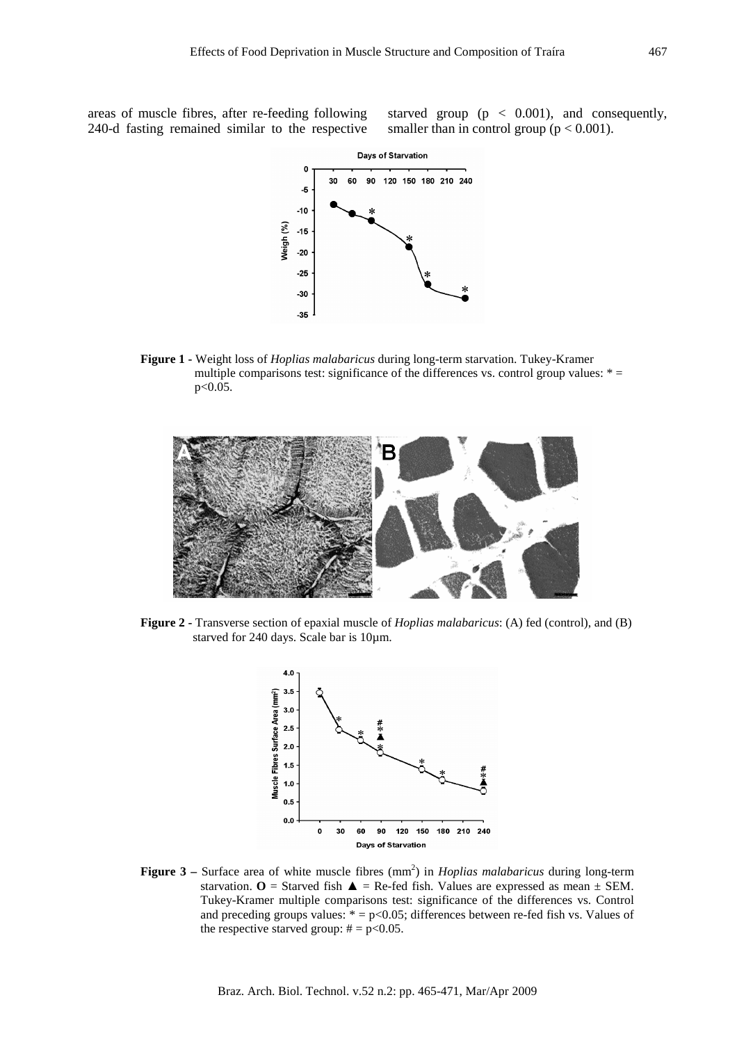areas of muscle fibres, after re-feeding following 240-d fasting remained similar to the respective

starved group (p < 0.001), and consequently, smaller than in control group ( $p < 0.001$ ).



**Figure 1 -** Weight loss of *Hoplias malabaricus* during long-term starvation. Tukey-Kramer multiple comparisons test: significance of the differences vs. control group values:  $* =$ p<0.05.



**Figure 2 -** Transverse section of epaxial muscle of *Hoplias malabaricus*: (A) fed (control), and (B) starved for 240 days. Scale bar is 10µm.



**Figure 3** – Surface area of white muscle fibres (mm<sup>2</sup>) in *Hoplias malabaricus* during long-term starvation.  $O =$  Starved fish  $\triangle =$  Re-fed fish. Values are expressed as mean  $\pm$  SEM. Tukey-Kramer multiple comparisons test: significance of the differences vs. Control and preceding groups values:  $* = p < 0.05$ ; differences between re-fed fish vs. Values of the respective starved group:  $# = p < 0.05$ .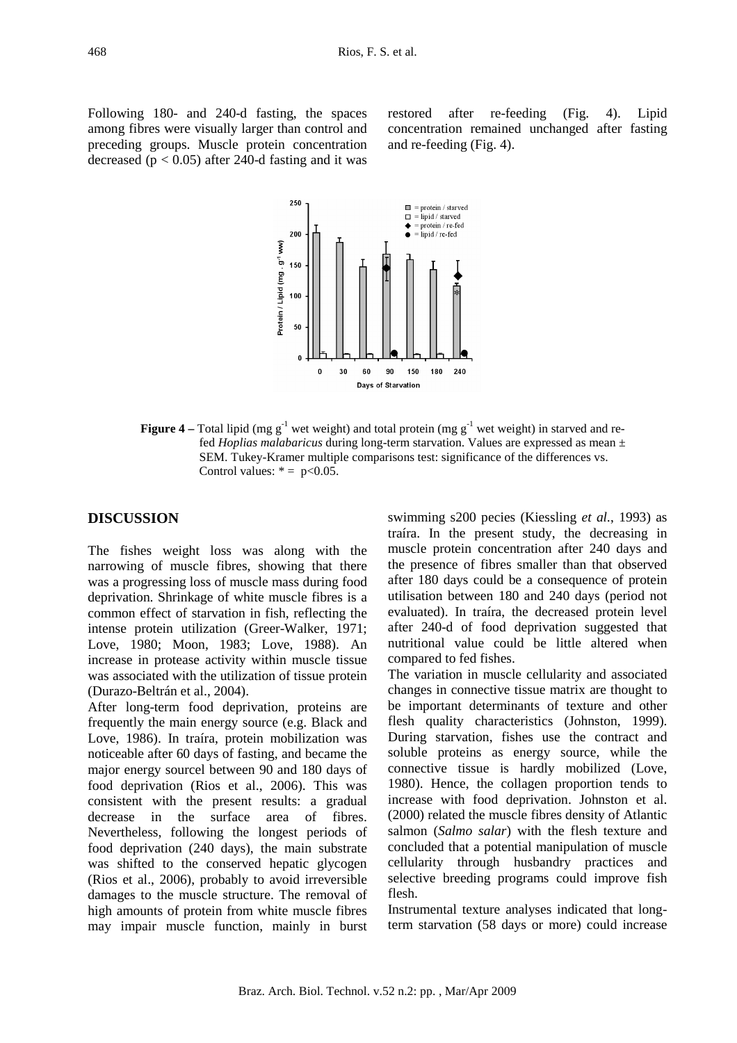Following 180- and 240-d fasting, the spaces among fibres were visually larger than control and preceding groups. Muscle protein concentration decreased ( $p < 0.05$ ) after 240-d fasting and it was

restored after re-feeding (Fig. 4). Lipid concentration remained unchanged after fasting and re-feeding (Fig. 4).



#### **Figure 4** – Total lipid (mg  $g^{-1}$  wet weight) and total protein (mg  $g^{-1}$  wet weight) in starved and refed *Hoplias malabaricus* during long-term starvation. Values are expressed as mean ± SEM. Tukey-Kramer multiple comparisons test: significance of the differences vs. Control values:  $* = p < 0.05$ .

## **DISCUSSION**

The fishes weight loss was along with the narrowing of muscle fibres, showing that there was a progressing loss of muscle mass during food deprivation. Shrinkage of white muscle fibres is a common effect of starvation in fish, reflecting the intense protein utilization (Greer-Walker, 1971; Love, 1980; Moon, 1983; Love, 1988). An increase in protease activity within muscle tissue was associated with the utilization of tissue protein (Durazo-Beltrán et al., 2004).

After long-term food deprivation, proteins are frequently the main energy source (e.g. Black and Love, 1986). In traíra, protein mobilization was noticeable after 60 days of fasting, and became the major energy sourcel between 90 and 180 days of food deprivation (Rios et al., 2006). This was consistent with the present results: a gradual decrease in the surface area of fibres. Nevertheless, following the longest periods of food deprivation (240 days), the main substrate was shifted to the conserved hepatic glycogen (Rios et al., 2006), probably to avoid irreversible damages to the muscle structure. The removal of high amounts of protein from white muscle fibres may impair muscle function, mainly in burst

swimming s200 pecies (Kiessling *et al.*, 1993) as traíra. In the present study, the decreasing in muscle protein concentration after 240 days and the presence of fibres smaller than that observed after 180 days could be a consequence of protein utilisation between 180 and 240 days (period not evaluated). In traíra, the decreased protein level after 240-d of food deprivation suggested that nutritional value could be little altered when compared to fed fishes.

The variation in muscle cellularity and associated changes in connective tissue matrix are thought to be important determinants of texture and other flesh quality characteristics (Johnston, 1999). During starvation, fishes use the contract and soluble proteins as energy source, while the connective tissue is hardly mobilized (Love, 1980). Hence, the collagen proportion tends to increase with food deprivation. Johnston et al. (2000) related the muscle fibres density of Atlantic salmon (*Salmo salar*) with the flesh texture and concluded that a potential manipulation of muscle cellularity through husbandry practices and selective breeding programs could improve fish flesh.

Instrumental texture analyses indicated that longterm starvation (58 days or more) could increase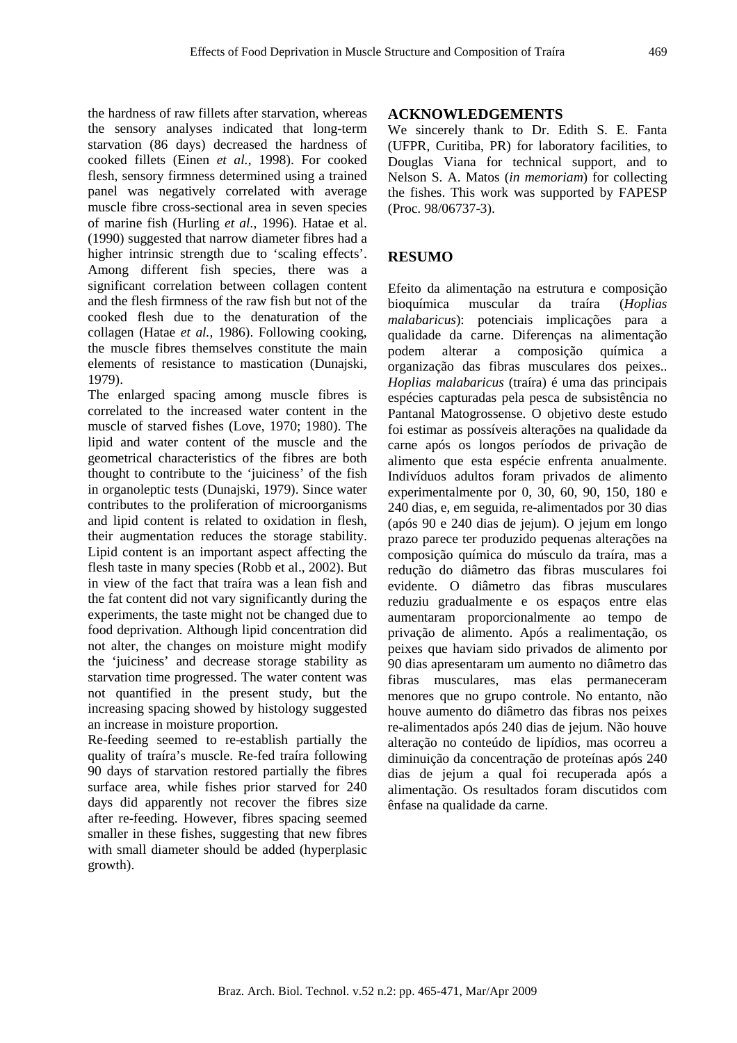the hardness of raw fillets after starvation, whereas the sensory analyses indicated that long-term starvation (86 days) decreased the hardness of cooked fillets (Einen *et al.*, 1998). For cooked flesh, sensory firmness determined using a trained panel was negatively correlated with average muscle fibre cross-sectional area in seven species of marine fish (Hurling *et al.*, 1996). Hatae et al. (1990) suggested that narrow diameter fibres had a higher intrinsic strength due to 'scaling effects'. Among different fish species, there was a significant correlation between collagen content and the flesh firmness of the raw fish but not of the cooked flesh due to the denaturation of the collagen (Hatae *et al.*, 1986). Following cooking, the muscle fibres themselves constitute the main elements of resistance to mastication (Dunajski, 1979).

The enlarged spacing among muscle fibres is correlated to the increased water content in the muscle of starved fishes (Love, 1970; 1980). The lipid and water content of the muscle and the geometrical characteristics of the fibres are both thought to contribute to the 'juiciness' of the fish in organoleptic tests (Dunajski, 1979). Since water contributes to the proliferation of microorganisms and lipid content is related to oxidation in flesh, their augmentation reduces the storage stability. Lipid content is an important aspect affecting the flesh taste in many species (Robb et al., 2002). But in view of the fact that traíra was a lean fish and the fat content did not vary significantly during the experiments, the taste might not be changed due to food deprivation. Although lipid concentration did not alter, the changes on moisture might modify the 'juiciness' and decrease storage stability as starvation time progressed. The water content was not quantified in the present study, but the increasing spacing showed by histology suggested an increase in moisture proportion.

Re-feeding seemed to re-establish partially the quality of traíra's muscle. Re-fed traíra following 90 days of starvation restored partially the fibres surface area, while fishes prior starved for 240 days did apparently not recover the fibres size after re-feeding. However, fibres spacing seemed smaller in these fishes, suggesting that new fibres with small diameter should be added (hyperplasic growth).

## **ACKNOWLEDGEMENTS**

We sincerely thank to Dr. Edith S. E. Fanta (UFPR, Curitiba, PR) for laboratory facilities, to Douglas Viana for technical support, and to Nelson S. A. Matos (*in memoriam*) for collecting the fishes. This work was supported by FAPESP (Proc. 98/06737-3).

## **RESUMO**

Efeito da alimentação na estrutura e composição bioquímica muscular da traíra (*Hoplias malabaricus*): potenciais implicações para a qualidade da carne. Diferenças na alimentação podem alterar a composição química a organização das fibras musculares dos peixes.. *Hoplias malabaricus* (traíra) é uma das principais espécies capturadas pela pesca de subsistência no Pantanal Matogrossense. O objetivo deste estudo foi estimar as possíveis alterações na qualidade da carne após os longos períodos de privação de alimento que esta espécie enfrenta anualmente. Indivíduos adultos foram privados de alimento experimentalmente por 0, 30, 60, 90, 150, 180 e 240 dias, e, em seguida, re-alimentados por 30 dias (após 90 e 240 dias de jejum). O jejum em longo prazo parece ter produzido pequenas alterações na composição química do músculo da traíra, mas a redução do diâmetro das fibras musculares foi evidente. O diâmetro das fibras musculares reduziu gradualmente e os espaços entre elas aumentaram proporcionalmente ao tempo de privação de alimento. Após a realimentação, os peixes que haviam sido privados de alimento por 90 dias apresentaram um aumento no diâmetro das fibras musculares, mas elas permaneceram menores que no grupo controle. No entanto, não houve aumento do diâmetro das fibras nos peixes re-alimentados após 240 dias de jejum. Não houve alteração no conteúdo de lipídios, mas ocorreu a diminuição da concentração de proteínas após 240 dias de jejum a qual foi recuperada após a alimentação. Os resultados foram discutidos com ênfase na qualidade da carne.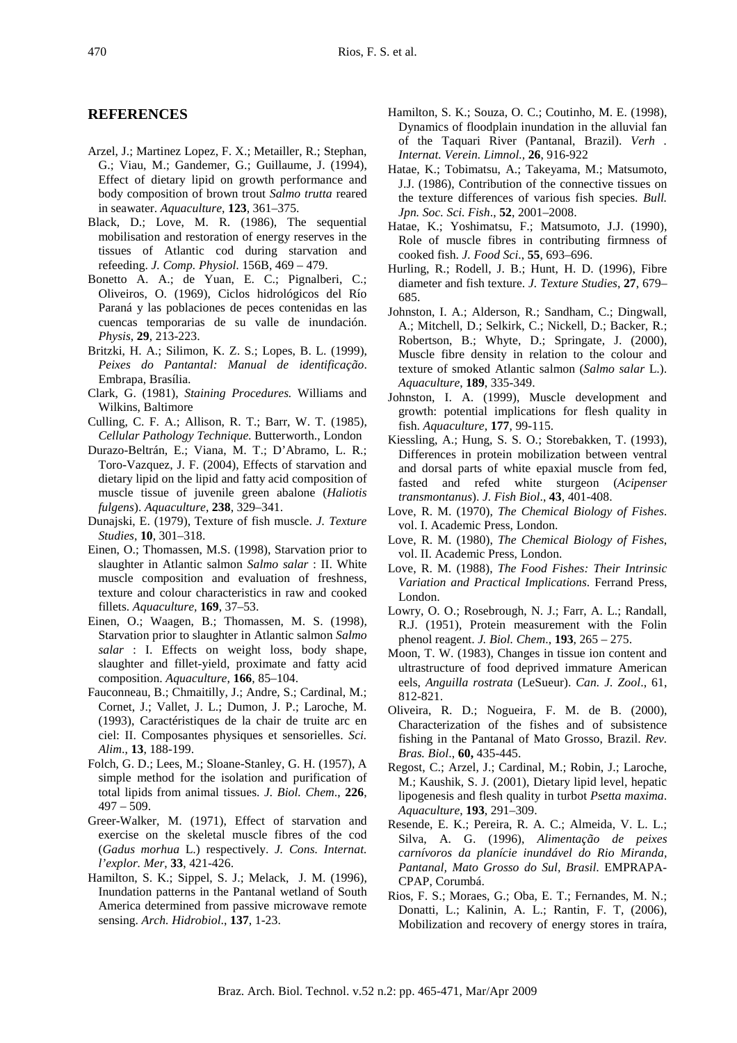#### **REFERENCES**

- Arzel, J.; Martinez Lopez, F. X.; Metailler, R.; Stephan, G.; Viau, M.; Gandemer, G.; Guillaume, J. (1994), Effect of dietary lipid on growth performance and body composition of brown trout *Salmo trutta* reared in seawater. *Aquaculture*, **123**, 361–375.
- Black, D.; Love, M. R. (1986), The sequential mobilisation and restoration of energy reserves in the tissues of Atlantic cod during starvation and refeeding. *J. Comp. Physiol*. 156B, 469 – 479.
- Bonetto A. A.; de Yuan, E. C.; Pignalberi, C.; Oliveiros, O. (1969), Ciclos hidrológicos del Río Paraná y las poblaciones de peces contenidas en las cuencas temporarias de su valle de inundación. *Physis*, **29**, 213-223.
- Britzki, H. A.; Silimon, K. Z. S.; Lopes, B. L. (1999), *Peixes do Pantantal: Manual de identificação*. Embrapa, Brasília.
- Clark, G. (1981), *Staining Procedures.* Williams and Wilkins, Baltimore
- Culling, C. F. A.; Allison, R. T.; Barr, W. T. (1985), *Cellular Pathology Technique*. Butterworth., London
- Durazo-Beltrán, E.; Viana, M. T.; D'Abramo, L. R.; Toro-Vazquez, J. F. (2004), Effects of starvation and dietary lipid on the lipid and fatty acid composition of muscle tissue of juvenile green abalone (*Haliotis fulgens*). *Aquaculture*, **238**, 329–341.
- Dunajski, E. (1979), Texture of fish muscle. *J. Texture Studies*, **10**, 301–318.
- Einen, O.; Thomassen, M.S. (1998), Starvation prior to slaughter in Atlantic salmon *Salmo salar* : II. White muscle composition and evaluation of freshness, texture and colour characteristics in raw and cooked fillets. *Aquaculture,* **169**, 37–53.
- Einen, O.; Waagen, B.; Thomassen, M. S. (1998), Starvation prior to slaughter in Atlantic salmon *Salmo salar* : I. Effects on weight loss, body shape, slaughter and fillet-yield, proximate and fatty acid composition. *Aquaculture*, **166**, 85–104.
- Fauconneau, B.; Chmaitilly, J.; Andre, S.; Cardinal, M.; Cornet, J.; Vallet, J. L.; Dumon, J. P.; Laroche, M. (1993), Caractéristiques de la chair de truite arc en ciel: II. Composantes physiques et sensorielles. *Sci. Alim*., **13**, 188-199.
- Folch, G. D.; Lees, M.; Sloane-Stanley, G. H. (1957), A simple method for the isolation and purification of total lipids from animal tissues. *J. Biol. Chem*., **226**, 497 – 509.
- Greer-Walker, M. (1971), Effect of starvation and exercise on the skeletal muscle fibres of the cod (*Gadus morhua* L.) respectively. *J. Cons. Internat. l'explor. Mer*, **33**, 421-426.
- Hamilton, S. K.; Sippel, S. J.; Melack, J. M. (1996), Inundation patterns in the Pantanal wetland of South America determined from passive microwave remote sensing. *Arch. Hidrobiol*., **137**, 1-23.
- Hamilton, S. K.; Souza, O. C.; Coutinho, M. E. (1998), Dynamics of floodplain inundation in the alluvial fan of the Taquari River (Pantanal, Brazil). *Verh . Internat. Verein. Limnol.,* **26**, 916-922
- Hatae, K.; Tobimatsu, A.; Takeyama, M.; Matsumoto, J.J. (1986), Contribution of the connective tissues on the texture differences of various fish species. *Bull. Jpn. Soc. Sci. Fish*., **52**, 2001–2008.
- Hatae, K.; Yoshimatsu, F.; Matsumoto, J.J. (1990), Role of muscle fibres in contributing firmness of cooked fish. *J. Food Sci*., **55**, 693–696.
- Hurling, R.; Rodell, J. B.; Hunt, H. D. (1996), Fibre diameter and fish texture. *J. Texture Studies*, **27**, 679– 685.
- Johnston, I. A.; Alderson, R.; Sandham, C.; Dingwall, A.; Mitchell, D.; Selkirk, C.; Nickell, D.; Backer, R.; Robertson, B.; Whyte, D.; Springate, J. (2000), Muscle fibre density in relation to the colour and texture of smoked Atlantic salmon (*Salmo salar* L.). *Aquaculture*, **189**, 335-349.
- Johnston, I. A. (1999), Muscle development and growth: potential implications for flesh quality in fish. *Aquaculture*, **177**, 99-115.
- Kiessling, A.; Hung, S. S. O.; Storebakken, T. (1993), Differences in protein mobilization between ventral and dorsal parts of white epaxial muscle from fed, fasted and refed white sturgeon (*Acipenser transmontanus*). *J. Fish Biol*., **43**, 401-408.
- Love, R. M. (1970), *The Chemical Biology of Fishes*. vol. I. Academic Press, London.
- Love, R. M. (1980), *The Chemical Biology of Fishes*, vol. II. Academic Press, London.
- Love, R. M. (1988), *The Food Fishes: Their Intrinsic Variation and Practical Implications*. Ferrand Press, London.
- Lowry, O. O.; Rosebrough, N. J.; Farr, A. L.; Randall, R.J. (1951), Protein measurement with the Folin phenol reagent. *J. Biol. Chem*., **193**, 265 – 275.
- Moon, T. W. (1983), Changes in tissue ion content and ultrastructure of food deprived immature American eels, *Anguilla rostrata* (LeSueur). *Can. J. Zool*., 61, 812-821.
- Oliveira, R. D.; Nogueira, F. M. de B. (2000), Characterization of the fishes and of subsistence fishing in the Pantanal of Mato Grosso, Brazil. *Rev. Bras. Biol*., **60,** 435-445.
- Regost, C.; Arzel, J.; Cardinal, M.; Robin, J.; Laroche, M.; Kaushik, S. J. (2001), Dietary lipid level, hepatic lipogenesis and flesh quality in turbot *Psetta maxima*. *Aquaculture*, **193**, 291–309.
- Resende, E. K.; Pereira, R. A. C.; Almeida, V. L. L.; Silva, A. G. (1996), *Alimentação de peixes carnívoros da planície inundável do Rio Miranda, Pantanal, Mato Grosso do Sul, Brasil*. EMPRAPA-CPAP, Corumbá.
- Rios, F. S.; Moraes, G.; Oba, E. T.; Fernandes, M. N.; Donatti, L.; Kalinin, A. L.; Rantin, F. T, (2006), Mobilization and recovery of energy stores in traíra,